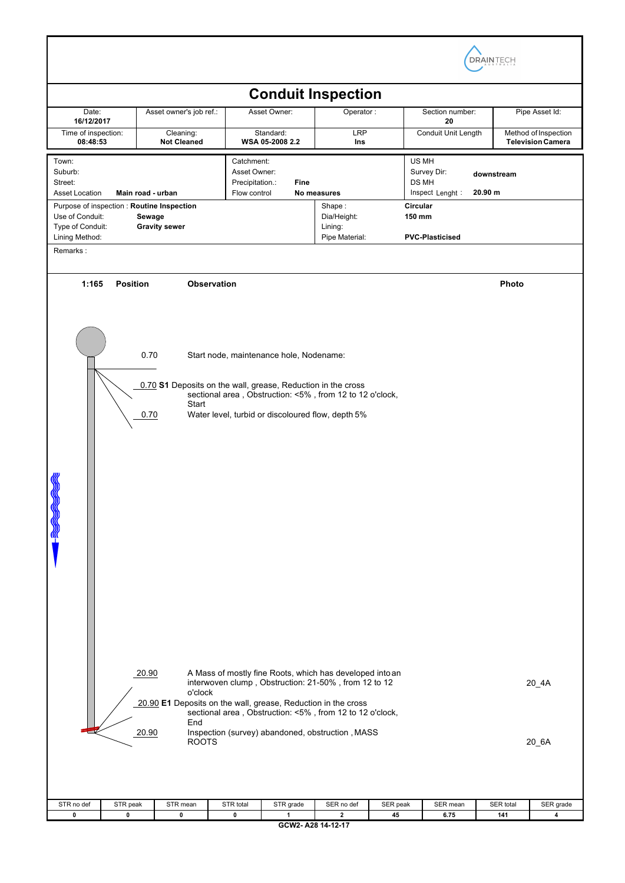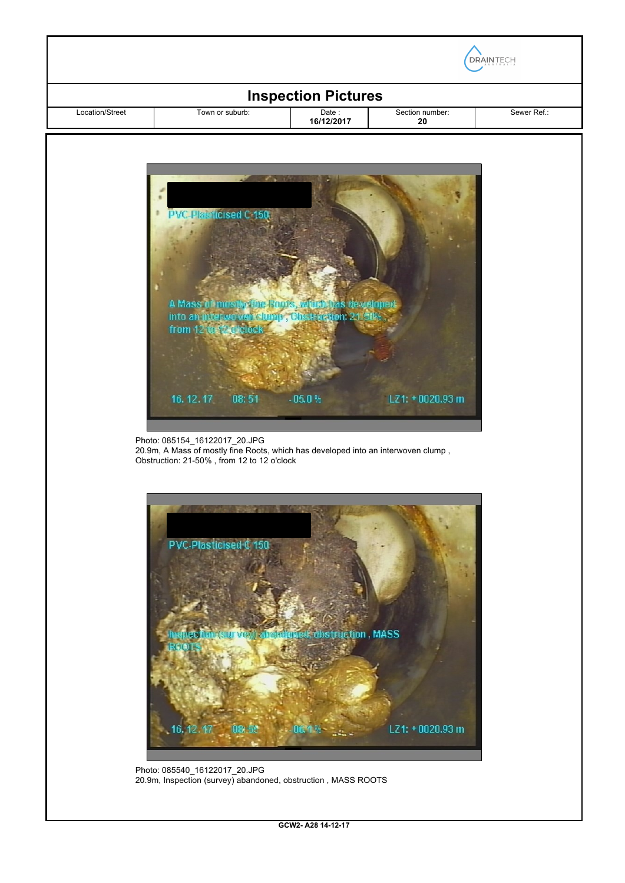| <b>Inspection Pictures</b><br>Sewer Ref.:<br>Location/Street<br>Town or suburb:<br>Date:<br>Section number: |                                                                                   |            |                 |  |
|-------------------------------------------------------------------------------------------------------------|-----------------------------------------------------------------------------------|------------|-----------------|--|
|                                                                                                             |                                                                                   | 16/12/2017 | 20              |  |
|                                                                                                             |                                                                                   |            |                 |  |
|                                                                                                             | $-2$                                                                              |            |                 |  |
|                                                                                                             |                                                                                   |            |                 |  |
|                                                                                                             | <b>PVC-Plasticised C 150</b>                                                      |            |                 |  |
|                                                                                                             |                                                                                   |            |                 |  |
|                                                                                                             |                                                                                   |            |                 |  |
|                                                                                                             |                                                                                   |            |                 |  |
|                                                                                                             |                                                                                   |            |                 |  |
|                                                                                                             | A Mass of mostly fine Roots, which has developed                                  |            |                 |  |
|                                                                                                             | into an interwowen clump, Closentruon: 21.60%;<br>from 12 to 12 arclock           |            |                 |  |
|                                                                                                             |                                                                                   |            |                 |  |
|                                                                                                             |                                                                                   |            |                 |  |
|                                                                                                             |                                                                                   |            |                 |  |
|                                                                                                             | 08:51<br>16, 12, 17                                                               | $-05.0%$   | LZ1: +0020.93 m |  |
|                                                                                                             |                                                                                   |            |                 |  |
|                                                                                                             | Photo: 085154_16122017_20.JPG                                                     |            |                 |  |
|                                                                                                             | 20.9m, A Mass of mostly fine Roots, which has developed into an interwoven clump, |            |                 |  |
|                                                                                                             | Obstruction: 21-50%, from 12 to 12 o'clock                                        |            |                 |  |
|                                                                                                             |                                                                                   |            |                 |  |



Photo: 085540\_16122017\_20.JPG 20.9m, Inspection (survey) abandoned, obstruction , MASS ROOTS